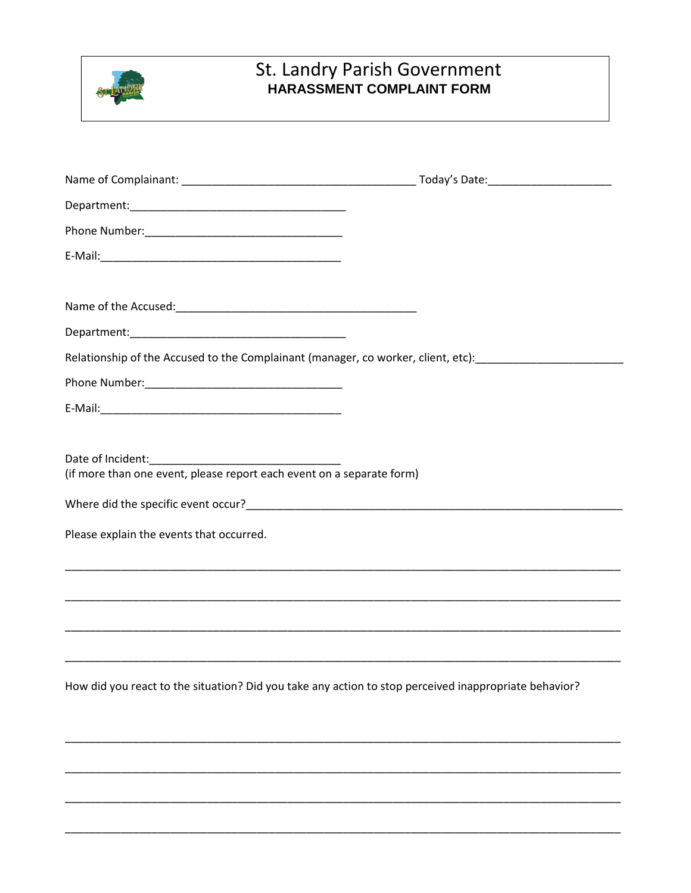

## St. Landry Parish Government<br>HARASSMENT COMPLAINT FORM

| Relationship of the Accused to the Complainant (manager, co worker, client, etc): [16] The Manumeter and the A |  |
|----------------------------------------------------------------------------------------------------------------|--|
|                                                                                                                |  |
|                                                                                                                |  |
|                                                                                                                |  |
| (if more than one event, please report each event on a separate form)                                          |  |
|                                                                                                                |  |
| Please explain the events that occurred.                                                                       |  |
| <u> 1989 - Johann Stoff, amerikansk politiker (d. 1989)</u>                                                    |  |
|                                                                                                                |  |
|                                                                                                                |  |
| How did you react to the situation? Did you take any action to stop perceived inappropriate behavior?          |  |
|                                                                                                                |  |
|                                                                                                                |  |